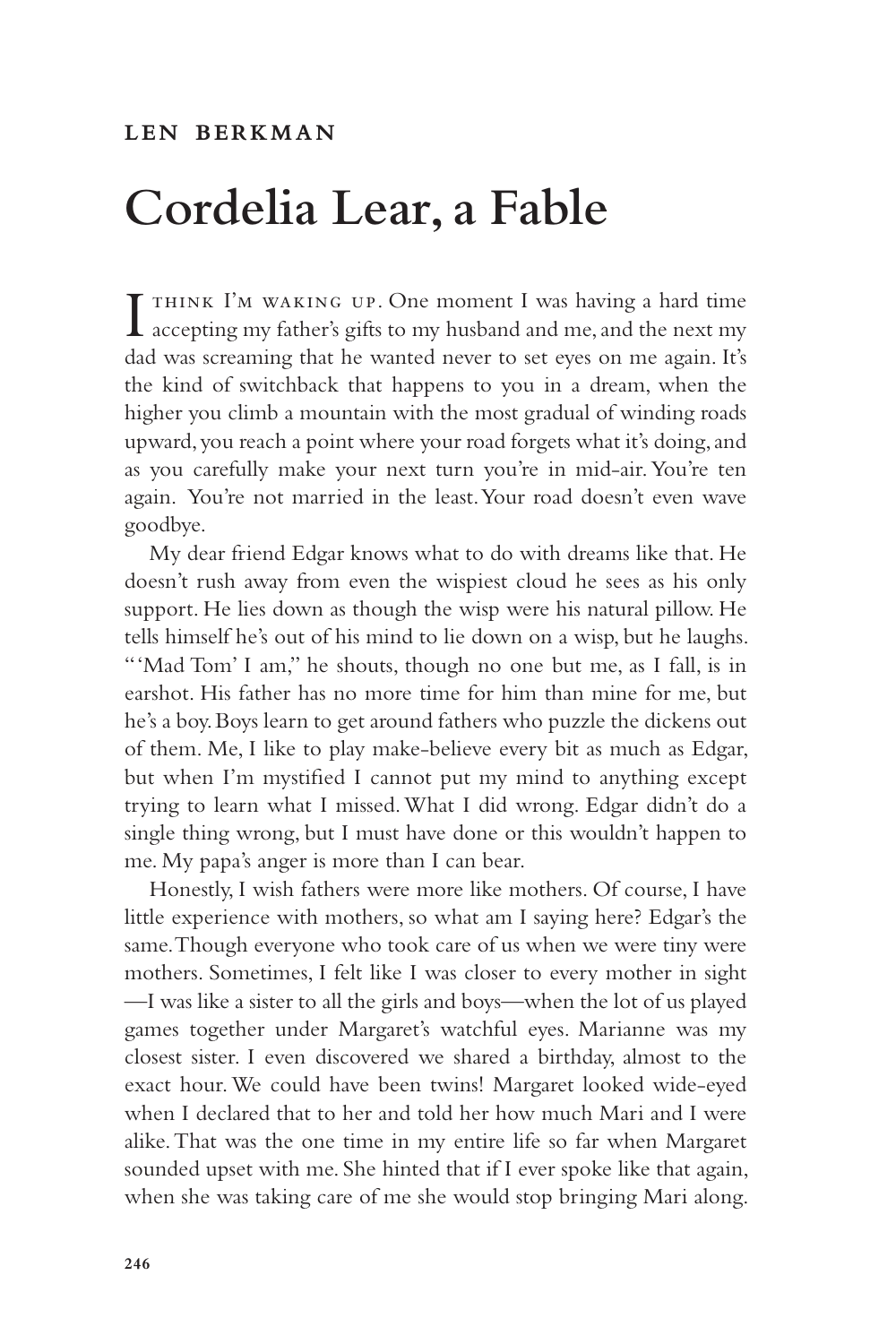## **Cordelia Lear, a Fable**

I accepting my father's gifts to my husband and me, and the next my **T** THINK I'M WAKING UP. One moment I was having a hard time dad was screaming that he wanted never to set eyes on me again. It's the kind of switchback that happens to you in a dream, when the higher you climb a mountain with the most gradual of winding roads upward, you reach a point where your road forgets what it's doing, and as you carefully make your next turn you're in mid-air. You're ten again. You're not married in the least. Your road doesn't even wave goodbye.

My dear friend Edgar knows what to do with dreams like that. He doesn't rush away from even the wispiest cloud he sees as his only support. He lies down as though the wisp were his natural pillow. He tells himself he's out of his mind to lie down on a wisp, but he laughs. "'Mad Tom' I am," he shouts, though no one but me, as I fall, is in earshot. His father has no more time for him than mine for me, but he's a boy. Boys learn to get around fathers who puzzle the dickens out of them. Me, I like to play make-believe every bit as much as Edgar, but when I'm mystified I cannot put my mind to anything except trying to learn what I missed. What I did wrong. Edgar didn't do a single thing wrong, but I must have done or this wouldn't happen to me. My papa's anger is more than I can bear.

Honestly, I wish fathers were more like mothers. Of course, I have little experience with mothers, so what am I saying here? Edgar's the same. Though everyone who took care of us when we were tiny were mothers. Sometimes, I felt like I was closer to every mother in sight —I was like a sister to all the girls and boys—when the lot of us played games together under Margaret's watchful eyes. Marianne was my closest sister. I even discovered we shared a birthday, almost to the exact hour. We could have been twins! Margaret looked wide-eyed when I declared that to her and told her how much Mari and I were alike. That was the one time in my entire life so far when Margaret sounded upset with me. She hinted that if I ever spoke like that again, when she was taking care of me she would stop bringing Mari along.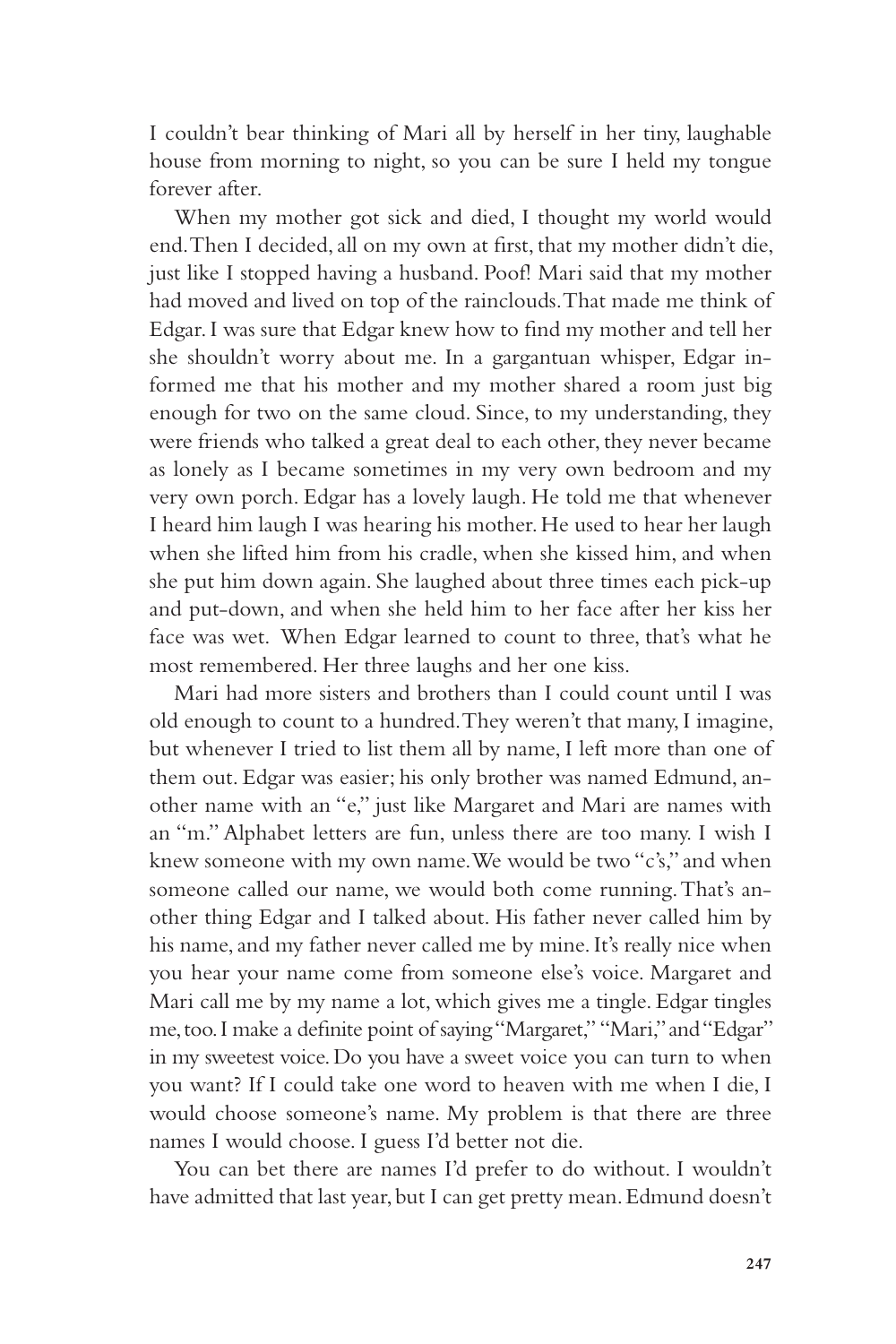I couldn't bear thinking of Mari all by herself in her tiny, laughable house from morning to night, so you can be sure I held my tongue forever after.

When my mother got sick and died, I thought my world would end. Then I decided, all on my own at first, that my mother didn't die, just like I stopped having a husband. Poof! Mari said that my mother had moved and lived on top of the rainclouds. That made me think of Edgar. I was sure that Edgar knew how to find my mother and tell her she shouldn't worry about me. In a gargantuan whisper, Edgar informed me that his mother and my mother shared a room just big enough for two on the same cloud. Since, to my understanding, they were friends who talked a great deal to each other, they never became as lonely as I became sometimes in my very own bedroom and my very own porch. Edgar has a lovely laugh. He told me that whenever I heard him laugh I was hearing his mother. He used to hear her laugh when she lifted him from his cradle, when she kissed him, and when she put him down again. She laughed about three times each pick-up and put-down, and when she held him to her face after her kiss her face was wet. When Edgar learned to count to three, that's what he most remembered. Her three laughs and her one kiss.

Mari had more sisters and brothers than I could count until I was old enough to count to a hundred. They weren't that many, I imagine, but whenever I tried to list them all by name, I left more than one of them out. Edgar was easier; his only brother was named Edmund, another name with an "e," just like Margaret and Mari are names with an "m." Alphabet letters are fun, unless there are too many. I wish I knew someone with my own name. We would be two "c's," and when someone called our name, we would both come running. That's another thing Edgar and I talked about. His father never called him by his name, and my father never called me by mine. It's really nice when you hear your name come from someone else's voice. Margaret and Mari call me by my name a lot, which gives me a tingle. Edgar tingles me, too. I make a definite point of saying "Margaret," "Mari," and "Edgar" in my sweetest voice. Do you have a sweet voice you can turn to when you want? If I could take one word to heaven with me when I die, I would choose someone's name. My problem is that there are three names I would choose. I guess I'd better not die.

You can bet there are names I'd prefer to do without. I wouldn't have admitted that last year, but I can get pretty mean. Edmund doesn't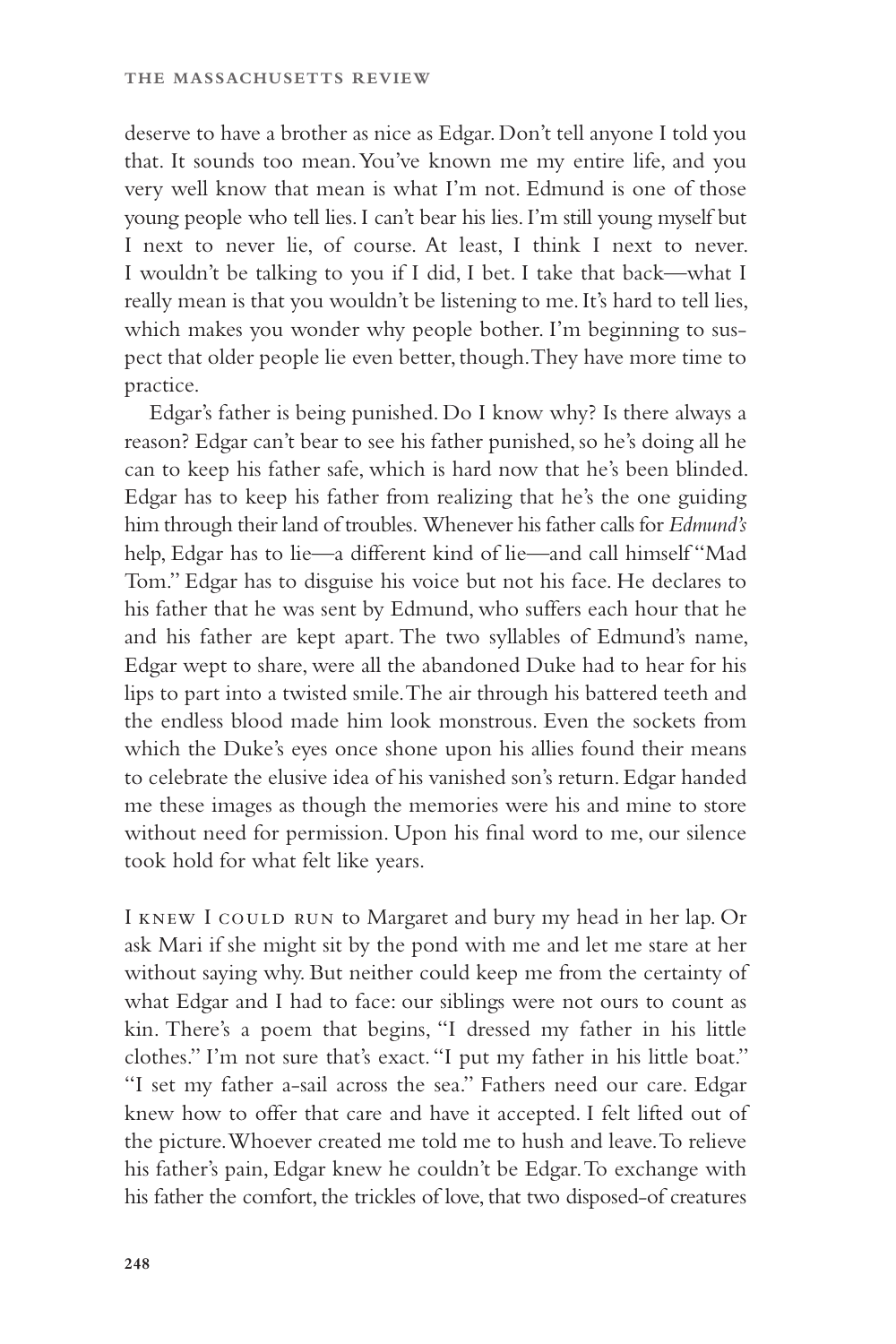deserve to have a brother as nice as Edgar. Don't tell anyone I told you that. It sounds too mean. You've known me my entire life, and you very well know that mean is what I'm not. Edmund is one of those young people who tell lies. I can't bear his lies. I'm still young myself but I next to never lie, of course. At least, I think I next to never. I wouldn't be talking to you if I did, I bet. I take that back—what I really mean is that you wouldn't be listening to me. It's hard to tell lies, which makes you wonder why people bother. I'm beginning to suspect that older people lie even better, though. They have more time to practice.

Edgar's father is being punished. Do I know why? Is there always a reason? Edgar can't bear to see his father punished, so he's doing all he can to keep his father safe, which is hard now that he's been blinded. Edgar has to keep his father from realizing that he's the one guiding him through their land of troubles. Whenever his father calls for *Edmund's* help, Edgar has to lie—a different kind of lie—and call himself "Mad Tom." Edgar has to disguise his voice but not his face. He declares to his father that he was sent by Edmund, who suffers each hour that he and his father are kept apart. The two syllables of Edmund's name, Edgar wept to share, were all the abandoned Duke had to hear for his lips to part into a twisted smile. The air through his battered teeth and the endless blood made him look monstrous. Even the sockets from which the Duke's eyes once shone upon his allies found their means to celebrate the elusive idea of his vanished son's return. Edgar handed me these images as though the memories were his and mine to store without need for permission. Upon his final word to me, our silence took hold for what felt like years.

I KNEW I COULD RUN to Margaret and bury my head in her lap. Or ask Mari if she might sit by the pond with me and let me stare at her without saying why. But neither could keep me from the certainty of what Edgar and I had to face: our siblings were not ours to count as kin. There's a poem that begins, "I dressed my father in his little clothes." I'm not sure that's exact. "I put my father in his little boat." "I set my father a-sail across the sea." Fathers need our care. Edgar knew how to offer that care and have it accepted. I felt lifted out of the picture. Whoever created me told me to hush and leave. To relieve his father's pain, Edgar knew he couldn't be Edgar. To exchange with his father the comfort, the trickles of love, that two disposed-of creatures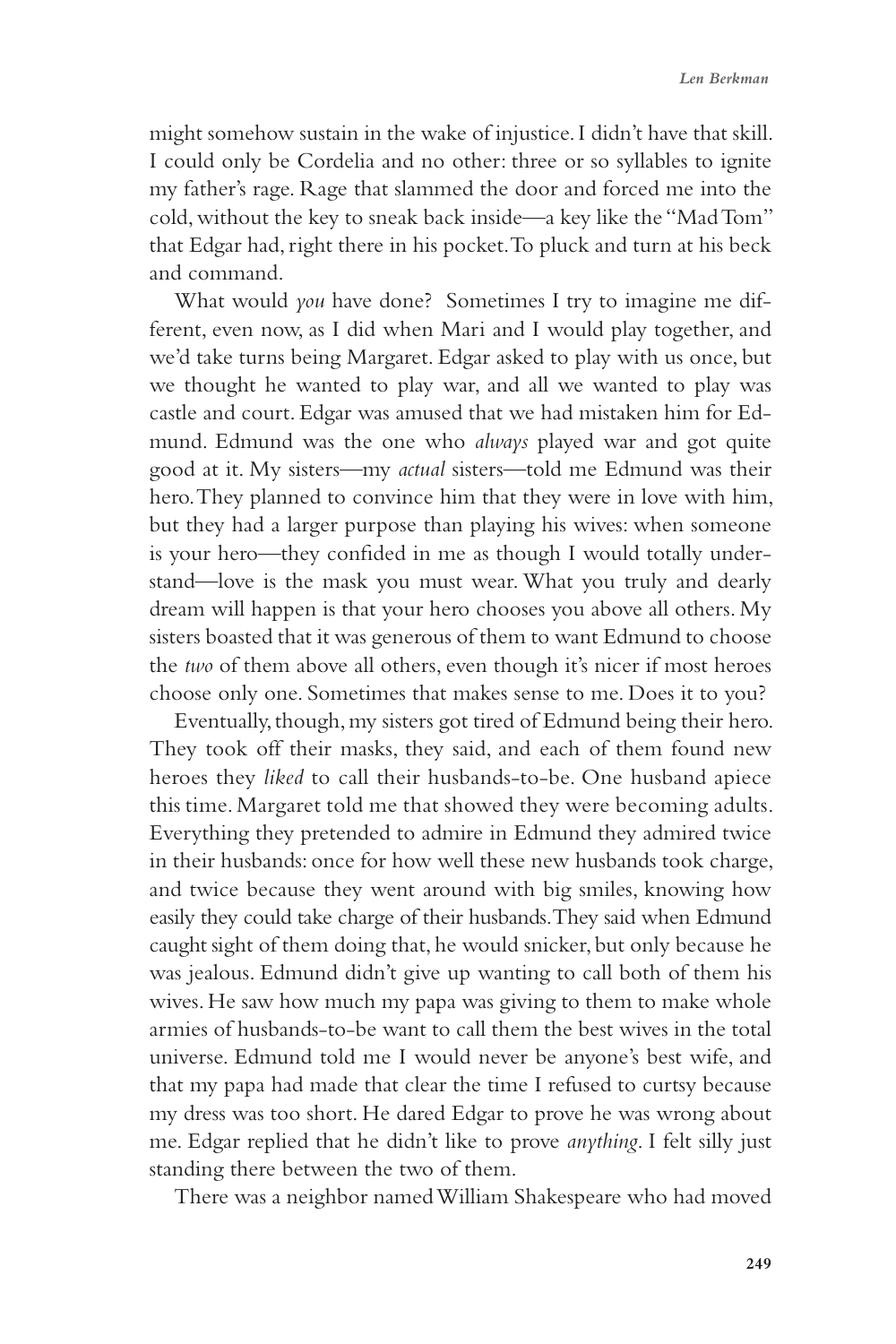might somehow sustain in the wake of injustice. I didn't have that skill. I could only be Cordelia and no other: three or so syllables to ignite my father's rage. Rage that slammed the door and forced me into the cold, without the key to sneak back inside—a key like the "Mad Tom" that Edgar had, right there in his pocket. To pluck and turn at his beck and command.

What would *you* have done? Sometimes I try to imagine me different, even now, as I did when Mari and I would play together, and we'd take turns being Margaret. Edgar asked to play with us once, but we thought he wanted to play war, and all we wanted to play was castle and court. Edgar was amused that we had mistaken him for Edmund. Edmund was the one who *always* played war and got quite good at it. My sisters—my *actual* sisters—told me Edmund was their hero. They planned to convince him that they were in love with him, but they had a larger purpose than playing his wives: when someone is your hero—they confided in me as though I would totally understand—love is the mask you must wear. What you truly and dearly dream will happen is that your hero chooses you above all others. My sisters boasted that it was generous of them to want Edmund to choose the *two* of them above all others, even though it's nicer if most heroes choose only one. Sometimes that makes sense to me. Does it to you?

Eventually, though, my sisters got tired of Edmund being their hero. They took off their masks, they said, and each of them found new heroes they *liked* to call their husbands-to-be. One husband apiece this time. Margaret told me that showed they were becoming adults. Everything they pretended to admire in Edmund they admired twice in their husbands: once for how well these new husbands took charge, and twice because they went around with big smiles, knowing how easily they could take charge of their husbands. They said when Edmund caught sight of them doing that, he would snicker, but only because he was jealous. Edmund didn't give up wanting to call both of them his wives. He saw how much my papa was giving to them to make whole armies of husbands-to-be want to call them the best wives in the total universe. Edmund told me I would never be anyone's best wife, and that my papa had made that clear the time I refused to curtsy because my dress was too short. He dared Edgar to prove he was wrong about me. Edgar replied that he didn't like to prove *anything*. I felt silly just standing there between the two of them.

There was a neighbor named William Shakespeare who had moved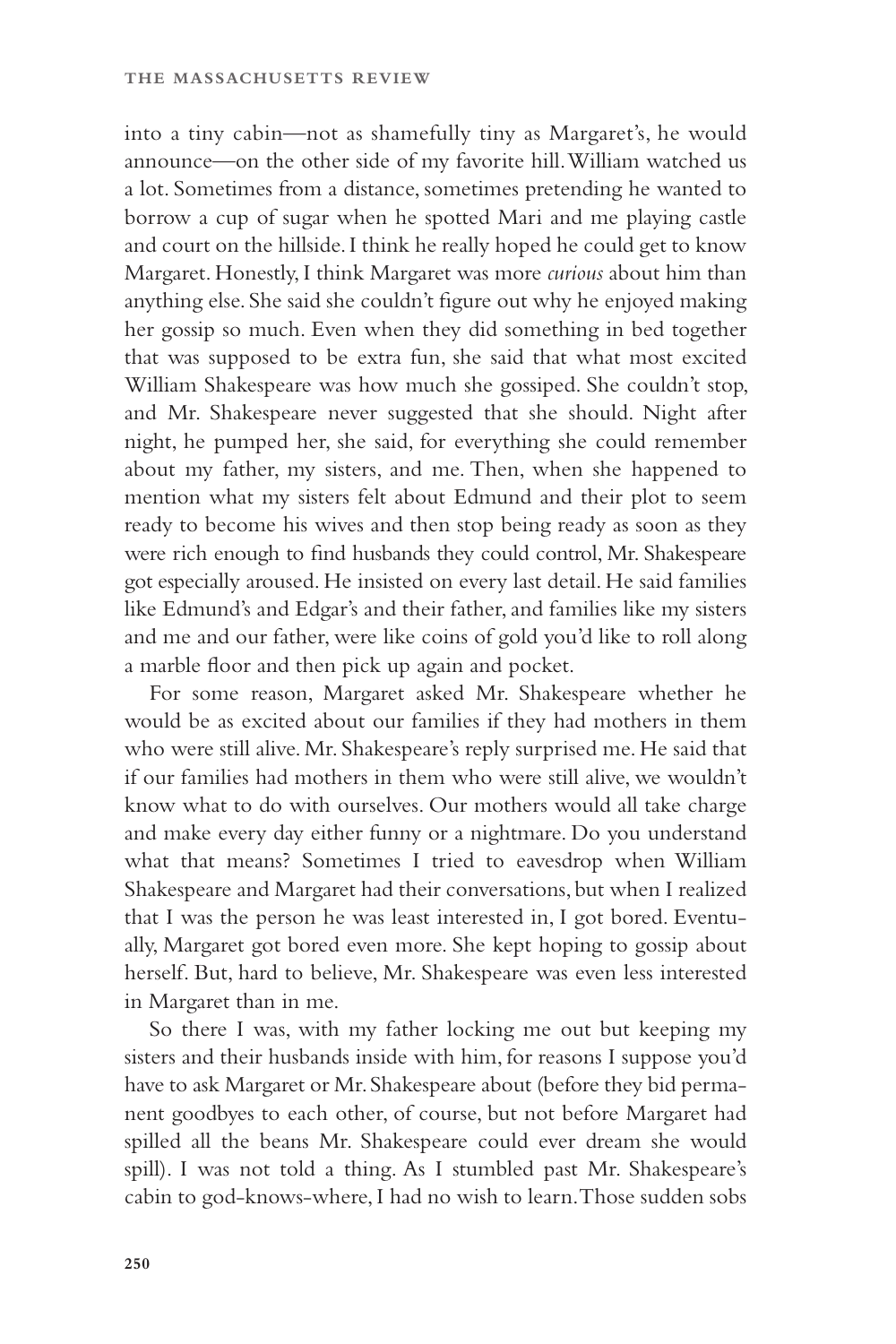into a tiny cabin—not as shamefully tiny as Margaret's, he would announce—on the other side of my favorite hill. William watched us a lot. Sometimes from a distance, sometimes pretending he wanted to borrow a cup of sugar when he spotted Mari and me playing castle and court on the hillside. I think he really hoped he could get to know Margaret. Honestly, I think Margaret was more *curious* about him than anything else. She said she couldn't figure out why he enjoyed making her gossip so much. Even when they did something in bed together that was supposed to be extra fun, she said that what most excited William Shakespeare was how much she gossiped. She couldn't stop, and Mr. Shakespeare never suggested that she should. Night after night, he pumped her, she said, for everything she could remember about my father, my sisters, and me. Then, when she happened to mention what my sisters felt about Edmund and their plot to seem ready to become his wives and then stop being ready as soon as they were rich enough to find husbands they could control, Mr. Shakespeare got especially aroused. He insisted on every last detail. He said families like Edmund's and Edgar's and their father, and families like my sisters and me and our father, were like coins of gold you'd like to roll along a marble floor and then pick up again and pocket.

For some reason, Margaret asked Mr. Shakespeare whether he would be as excited about our families if they had mothers in them who were still alive. Mr. Shakespeare's reply surprised me. He said that if our families had mothers in them who were still alive, we wouldn't know what to do with ourselves. Our mothers would all take charge and make every day either funny or a nightmare. Do you understand what that means? Sometimes I tried to eavesdrop when William Shakespeare and Margaret had their conversations, but when I realized that I was the person he was least interested in, I got bored. Eventually, Margaret got bored even more. She kept hoping to gossip about herself. But, hard to believe, Mr. Shakespeare was even less interested in Margaret than in me.

So there I was, with my father locking me out but keeping my sisters and their husbands inside with him, for reasons I suppose you'd have to ask Margaret or Mr. Shakespeare about (before they bid permanent goodbyes to each other, of course, but not before Margaret had spilled all the beans Mr. Shakespeare could ever dream she would spill). I was not told a thing. As I stumbled past Mr. Shakespeare's cabin to god-knows-where, I had no wish to learn. Those sudden sobs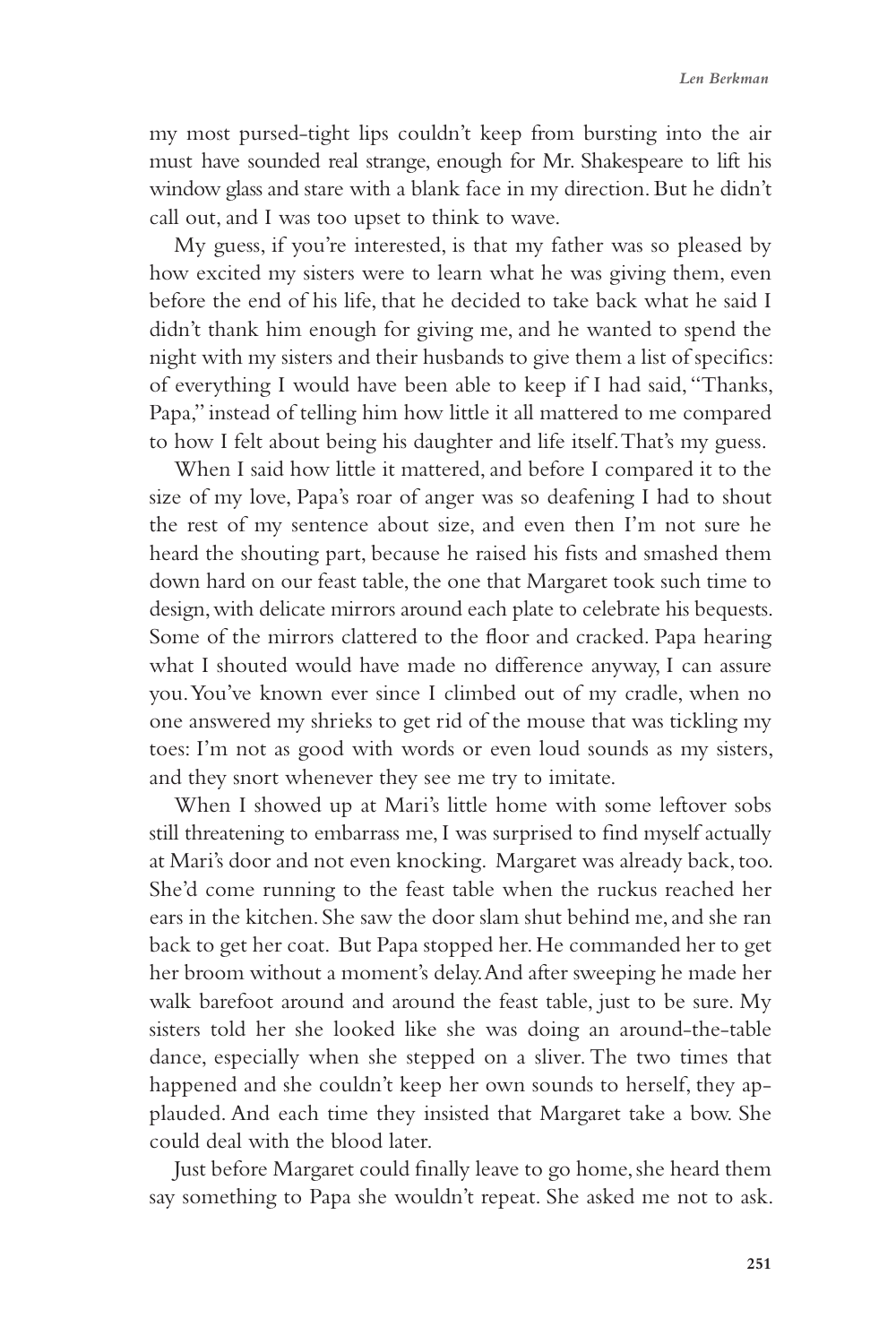## *Len Berkman*

my most pursed-tight lips couldn't keep from bursting into the air must have sounded real strange, enough for Mr. Shakespeare to lift his window glass and stare with a blank face in my direction. But he didn't call out, and I was too upset to think to wave.

My guess, if you're interested, is that my father was so pleased by how excited my sisters were to learn what he was giving them, even before the end of his life, that he decided to take back what he said I didn't thank him enough for giving me, and he wanted to spend the night with my sisters and their husbands to give them a list of specifics: of everything I would have been able to keep if I had said, "Thanks, Papa," instead of telling him how little it all mattered to me compared to how I felt about being his daughter and life itself. That's my guess.

When I said how little it mattered, and before I compared it to the size of my love, Papa's roar of anger was so deafening I had to shout the rest of my sentence about size, and even then I'm not sure he heard the shouting part, because he raised his fists and smashed them down hard on our feast table, the one that Margaret took such time to design, with delicate mirrors around each plate to celebrate his bequests. Some of the mirrors clattered to the floor and cracked. Papa hearing what I shouted would have made no difference anyway, I can assure you. You've known ever since I climbed out of my cradle, when no one answered my shrieks to get rid of the mouse that was tickling my toes: I'm not as good with words or even loud sounds as my sisters, and they snort whenever they see me try to imitate.

When I showed up at Mari's little home with some leftover sobs still threatening to embarrass me, I was surprised to find myself actually at Mari's door and not even knocking. Margaret was already back, too. She'd come running to the feast table when the ruckus reached her ears in the kitchen. She saw the door slam shut behind me, and she ran back to get her coat. But Papa stopped her. He commanded her to get her broom without a moment's delay. And after sweeping he made her walk barefoot around and around the feast table, just to be sure. My sisters told her she looked like she was doing an around-the-table dance, especially when she stepped on a sliver. The two times that happened and she couldn't keep her own sounds to herself, they applauded. And each time they insisted that Margaret take a bow. She could deal with the blood later.

Just before Margaret could finally leave to go home, she heard them say something to Papa she wouldn't repeat. She asked me not to ask.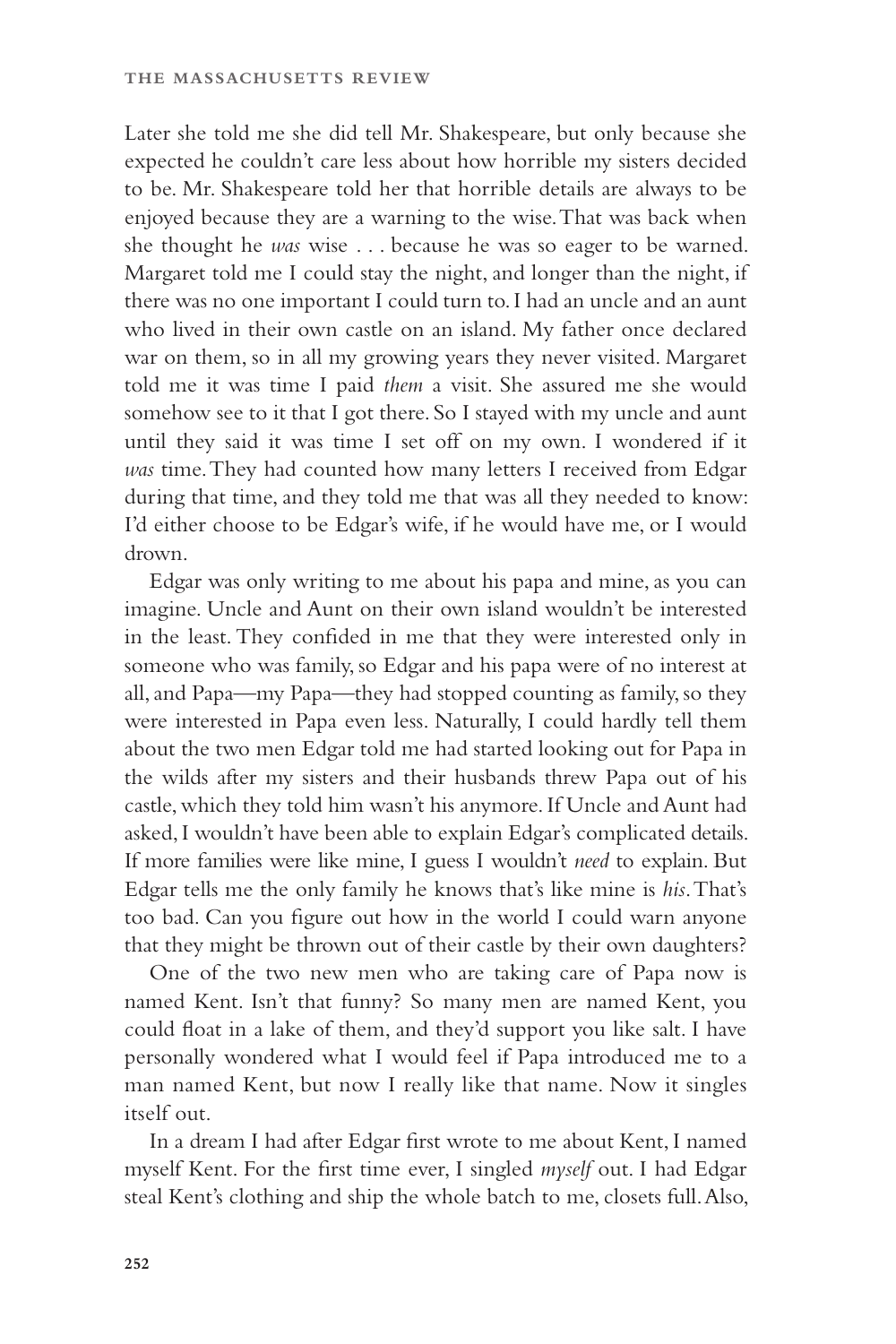Later she told me she did tell Mr. Shakespeare, but only because she expected he couldn't care less about how horrible my sisters decided to be. Mr. Shakespeare told her that horrible details are always to be enjoyed because they are a warning to the wise. That was back when she thought he *was* wise . . . because he was so eager to be warned. Margaret told me I could stay the night, and longer than the night, if there was no one important I could turn to. I had an uncle and an aunt who lived in their own castle on an island. My father once declared war on them, so in all my growing years they never visited. Margaret told me it was time I paid *them* a visit. She assured me she would somehow see to it that I got there. So I stayed with my uncle and aunt until they said it was time I set off on my own. I wondered if it *was* time. They had counted how many letters I received from Edgar during that time, and they told me that was all they needed to know: I'd either choose to be Edgar's wife, if he would have me, or I would drown.

Edgar was only writing to me about his papa and mine, as you can imagine. Uncle and Aunt on their own island wouldn't be interested in the least. They confided in me that they were interested only in someone who was family, so Edgar and his papa were of no interest at all, and Papa—my Papa—they had stopped counting as family, so they were interested in Papa even less. Naturally, I could hardly tell them about the two men Edgar told me had started looking out for Papa in the wilds after my sisters and their husbands threw Papa out of his castle, which they told him wasn't his anymore. If Uncle and Aunt had asked, I wouldn't have been able to explain Edgar's complicated details. If more families were like mine, I guess I wouldn't *need* to explain. But Edgar tells me the only family he knows that's like mine is *his*. That's too bad. Can you figure out how in the world I could warn anyone that they might be thrown out of their castle by their own daughters?

One of the two new men who are taking care of Papa now is named Kent. Isn't that funny? So many men are named Kent, you could float in a lake of them, and they'd support you like salt. I have personally wondered what I would feel if Papa introduced me to a man named Kent, but now I really like that name. Now it singles itself out.

In a dream I had after Edgar first wrote to me about Kent, I named myself Kent. For the first time ever, I singled *myself* out. I had Edgar steal Kent's clothing and ship the whole batch to me, closets full. Also,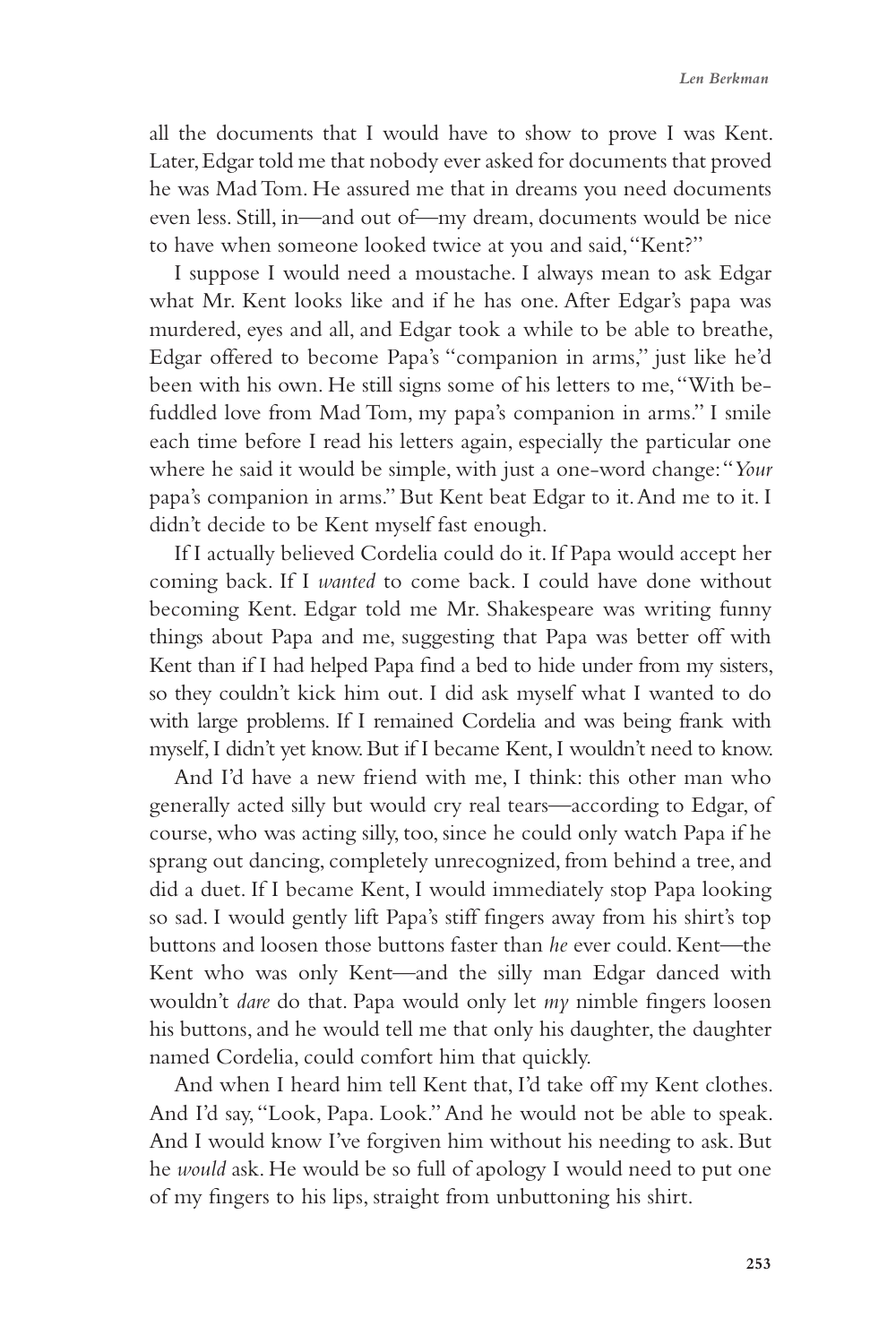all the documents that I would have to show to prove I was Kent. Later, Edgar told me that nobody ever asked for documents that proved he was Mad Tom. He assured me that in dreams you need documents even less. Still, in—and out of—my dream, documents would be nice to have when someone looked twice at you and said, "Kent?"

I suppose I would need a moustache. I always mean to ask Edgar what Mr. Kent looks like and if he has one. After Edgar's papa was murdered, eyes and all, and Edgar took a while to be able to breathe, Edgar offered to become Papa's "companion in arms," just like he'd been with his own. He still signs some of his letters to me, "With befuddled love from Mad Tom, my papa's companion in arms." I smile each time before I read his letters again, especially the particular one where he said it would be simple, with just a one-word change: "*Your* papa's companion in arms." But Kent beat Edgar to it. And me to it. I didn't decide to be Kent myself fast enough.

If I actually believed Cordelia could do it. If Papa would accept her coming back. If I *wanted* to come back. I could have done without becoming Kent. Edgar told me Mr. Shakespeare was writing funny things about Papa and me, suggesting that Papa was better off with Kent than if I had helped Papa find a bed to hide under from my sisters, so they couldn't kick him out. I did ask myself what I wanted to do with large problems. If I remained Cordelia and was being frank with myself, I didn't yet know. But if I became Kent, I wouldn't need to know.

And I'd have a new friend with me, I think: this other man who generally acted silly but would cry real tears—according to Edgar, of course, who was acting silly, too, since he could only watch Papa if he sprang out dancing, completely unrecognized, from behind a tree, and did a duet. If I became Kent, I would immediately stop Papa looking so sad. I would gently lift Papa's stiff fingers away from his shirt's top buttons and loosen those buttons faster than *he* ever could. Kent—the Kent who was only Kent—and the silly man Edgar danced with wouldn't *dare* do that. Papa would only let *my* nimble fingers loosen his buttons, and he would tell me that only his daughter, the daughter named Cordelia, could comfort him that quickly.

And when I heard him tell Kent that, I'd take off my Kent clothes. And I'd say, "Look, Papa. Look." And he would not be able to speak. And I would know I've forgiven him without his needing to ask. But he *would* ask. He would be so full of apology I would need to put one of my fingers to his lips, straight from unbuttoning his shirt.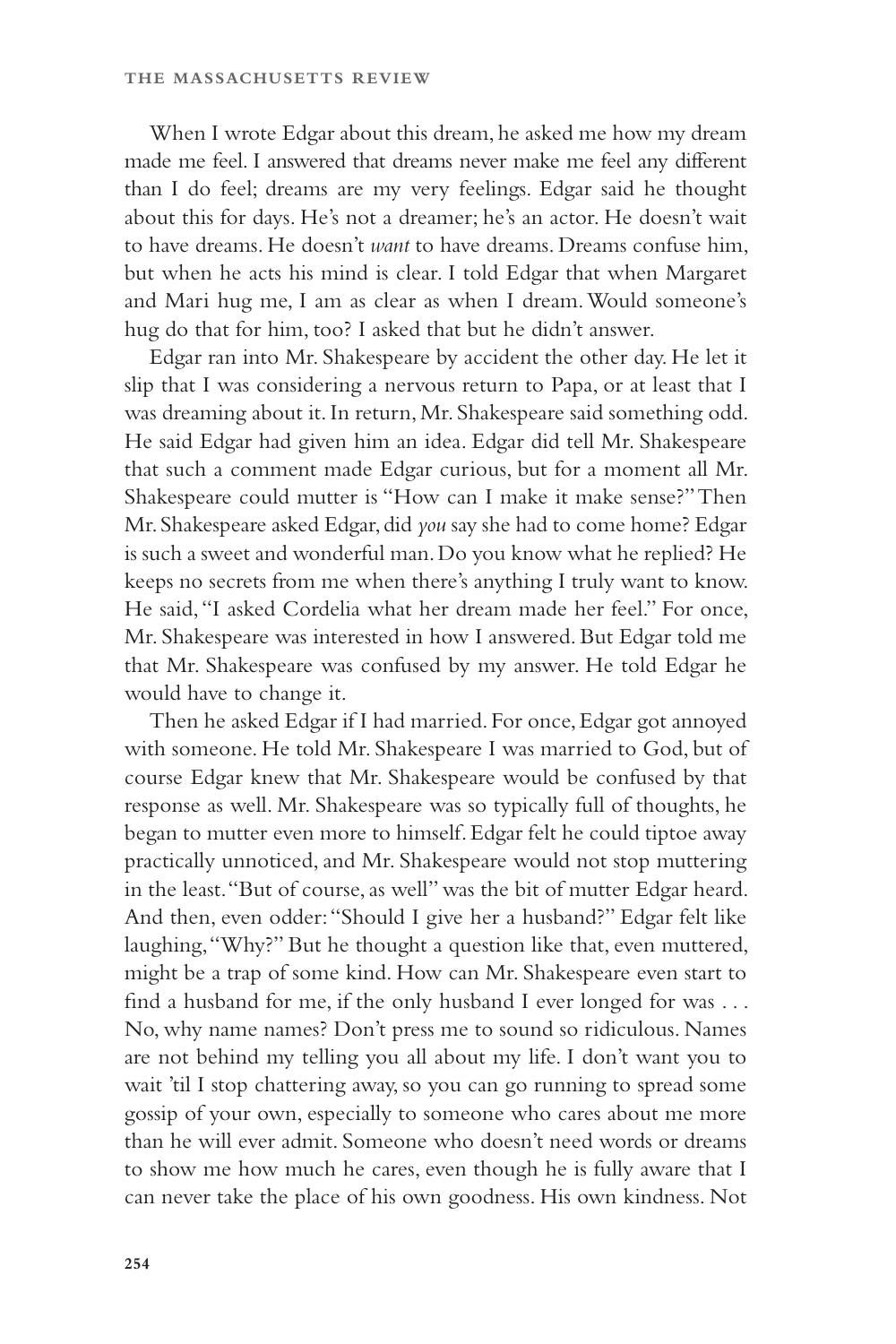When I wrote Edgar about this dream, he asked me how my dream made me feel. I answered that dreams never make me feel any different than I do feel; dreams are my very feelings. Edgar said he thought about this for days. He's not a dreamer; he's an actor. He doesn't wait to have dreams. He doesn't *want* to have dreams. Dreams confuse him, but when he acts his mind is clear. I told Edgar that when Margaret and Mari hug me, I am as clear as when I dream. Would someone's hug do that for him, too? I asked that but he didn't answer.

Edgar ran into Mr. Shakespeare by accident the other day. He let it slip that I was considering a nervous return to Papa, or at least that I was dreaming about it. In return, Mr. Shakespeare said something odd. He said Edgar had given him an idea. Edgar did tell Mr. Shakespeare that such a comment made Edgar curious, but for a moment all Mr. Shakespeare could mutter is "How can I make it make sense?" Then Mr. Shakespeare asked Edgar, did *you* say she had to come home? Edgar is such a sweet and wonderful man. Do you know what he replied? He keeps no secrets from me when there's anything I truly want to know. He said, "I asked Cordelia what her dream made her feel." For once, Mr. Shakespeare was interested in how I answered. But Edgar told me that Mr. Shakespeare was confused by my answer. He told Edgar he would have to change it.

Then he asked Edgar if I had married. For once, Edgar got annoyed with someone. He told Mr. Shakespeare I was married to God, but of course Edgar knew that Mr. Shakespeare would be confused by that response as well. Mr. Shakespeare was so typically full of thoughts, he began to mutter even more to himself. Edgar felt he could tiptoe away practically unnoticed, and Mr. Shakespeare would not stop muttering in the least. "But of course, as well" was the bit of mutter Edgar heard. And then, even odder: "Should I give her a husband?" Edgar felt like laughing, "Why?" But he thought a question like that, even muttered, might be a trap of some kind. How can Mr. Shakespeare even start to find a husband for me, if the only husband I ever longed for was . . . No, why name names? Don't press me to sound so ridiculous. Names are not behind my telling you all about my life. I don't want you to wait 'til I stop chattering away, so you can go running to spread some gossip of your own, especially to someone who cares about me more than he will ever admit. Someone who doesn't need words or dreams to show me how much he cares, even though he is fully aware that I can never take the place of his own goodness. His own kindness. Not